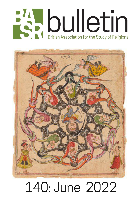## **BAR DUILETIN** British Association for the Study of Religions



## 140: June 2022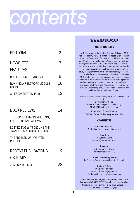## contents

| <b>EDITORIAL</b>                                                          | 2  |
|---------------------------------------------------------------------------|----|
| NEWS, ETC                                                                 | З  |
| <b>FEATURES</b>                                                           |    |
| REFLECTIONS FROM REF21                                                    | 6  |
| RUNNING A FIELDWORK MODULE<br><b>ONLINE</b>                               | 10 |
| A RESPONSE FROM IAHR                                                      | 12 |
|                                                                           |    |
| <b>BOOK REVIEWS</b>                                                       | 14 |
| THE OCCULT IN MODERNIST ART.<br><b>LITERATURE AND CINEMA</b>              |    |
| <b>LOST ECSTASY: ITS DECLINE AND</b><br><b>TRANSFORMATION IN RELIGION</b> |    |
| THE PROBLEM OF INVENTED<br><b>RELIGIONS</b>                               |    |
| <b>RECENT PUBLICATIONS</b>                                                | 19 |
| OBITUARY                                                                  |    |
| JAMES A. BECKFORD                                                         | ソン |

### **WWW.BASR.AC.UK**

### **ABOUT THE BASR**

| The British Association for the Study of Religions (BASR)<br>was founded in 1954. It is a member association of the In-<br>ternational Association for the History of Religions (foun-<br>ded 1950) and of the European Association for the Study<br>of Religions (founded 2001). The object of BASR is to pro-<br>mote the academic study of religion/s, understood as the<br>historical, social, theoretical, critical and comparative<br>study of religion/s through the interdisciplinary collabora-<br>tion of all scholars whose research is defined in this way.<br>BASR is not a forum for confessional, apologetic, or similar<br>concerns. BASR pursues its aims principally through an an-<br>nual conference and general meeting, a regular Bulletin,<br>and a Journal of the British Association for the Study of<br>Religions. Membership of BASR is open to all scholars nor-<br>mally resident in the United Kingdom. |
|---------------------------------------------------------------------------------------------------------------------------------------------------------------------------------------------------------------------------------------------------------------------------------------------------------------------------------------------------------------------------------------------------------------------------------------------------------------------------------------------------------------------------------------------------------------------------------------------------------------------------------------------------------------------------------------------------------------------------------------------------------------------------------------------------------------------------------------------------------------------------------------------------------------------------------------|
| All correspondence concerning the BASR should be sent                                                                                                                                                                                                                                                                                                                                                                                                                                                                                                                                                                                                                                                                                                                                                                                                                                                                                 |
| to:                                                                                                                                                                                                                                                                                                                                                                                                                                                                                                                                                                                                                                                                                                                                                                                                                                                                                                                                   |
| Dr Stephen E. Gregg,                                                                                                                                                                                                                                                                                                                                                                                                                                                                                                                                                                                                                                                                                                                                                                                                                                                                                                                  |
| Department of Religion and Philosophy,<br>MC234 Millennium City Building,                                                                                                                                                                                                                                                                                                                                                                                                                                                                                                                                                                                                                                                                                                                                                                                                                                                             |
| University of Wolverhampton,                                                                                                                                                                                                                                                                                                                                                                                                                                                                                                                                                                                                                                                                                                                                                                                                                                                                                                          |
| Wulfruna Street, Wolverhampton, WV1 1LY                                                                                                                                                                                                                                                                                                                                                                                                                                                                                                                                                                                                                                                                                                                                                                                                                                                                                               |
| <b>COMMITTEE</b>                                                                                                                                                                                                                                                                                                                                                                                                                                                                                                                                                                                                                                                                                                                                                                                                                                                                                                                      |
| <b>President and Chair</b>                                                                                                                                                                                                                                                                                                                                                                                                                                                                                                                                                                                                                                                                                                                                                                                                                                                                                                            |
| Dr Stephen Gregg - s.gregg@wlv.ac.uk                                                                                                                                                                                                                                                                                                                                                                                                                                                                                                                                                                                                                                                                                                                                                                                                                                                                                                  |
| Secretary                                                                                                                                                                                                                                                                                                                                                                                                                                                                                                                                                                                                                                                                                                                                                                                                                                                                                                                             |
| Dr Suzanne Owen                                                                                                                                                                                                                                                                                                                                                                                                                                                                                                                                                                                                                                                                                                                                                                                                                                                                                                                       |
| - s.owen@leedstrinity.ac.uk                                                                                                                                                                                                                                                                                                                                                                                                                                                                                                                                                                                                                                                                                                                                                                                                                                                                                                           |
| <b>Treasurer</b>                                                                                                                                                                                                                                                                                                                                                                                                                                                                                                                                                                                                                                                                                                                                                                                                                                                                                                                      |
| Dr Christopher R Cotter                                                                                                                                                                                                                                                                                                                                                                                                                                                                                                                                                                                                                                                                                                                                                                                                                                                                                                               |
| - c.cotter@lancaster.ac.uk                                                                                                                                                                                                                                                                                                                                                                                                                                                                                                                                                                                                                                                                                                                                                                                                                                                                                                            |

**JBASR Coordinating Editor** Dr Suzanne Owen - s.owen@leedstrinity.ac.uk

**Bulletin Editors** Dr David G Roberson - david.robertson@open.ac.uk Dr Theo Wildcroft - tw36@soas.ac.uk

All rights reserved. Edition, selection, arrangement and original material © BASR 2017. The rights of the original authors are reserved by those individuals and are not affected by the above copyright.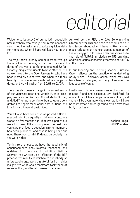# editorial

Welcome to issue 140 of our bulletin, especially As well as the REF, the QAA Benchmarking new members who have joined in this academic year. Theo has asked me to write a quick update for members, which I hope will keep you in the loop.

The major news, already communicated through the email list of course, is that the location and dates of this year's conference changed. Unfortunately, King's were unable to host after all, and so we moved to the Open University, who have been incredibly supportive, and whom we thank heartily. This move necessitated a change in dates, and we will gather from 30/08 to 01/09.

There has also been a change in personnel in one of our volunteer positions. Angela Puca is stepping aside as our Web and Social Media Officer, and Aled Thomas is coming onboard. We are very grateful to Angela for all of her contributions, and look forward to working with Aled.

You will also have seen that we posted a Statement of Intent on equality and diversity onto our website a few months ago. That was a part of our work to make E&D a priority over the next few years. As promised, a questionnaire for members has been produced, and that is being sent out now. Thank you to Mel Prideaux particularly for the work in this.

Turning to this issue, we have the usual mix of announcements, book reviews, responses, and updates for members. In addition. Bettina Schmidt has written up a reflection of the REF process, the results of which were published just a few weeks ago. We are grateful for her insider insight into what was a mammoth task for all of us submitting, and for all those on the panels.

Statement for TRS has been released since our last issue, about which I have written a short piece reflecting on the exercise as a member of the working group. It raises a few questions as to the role of SoR/RS in relation to TRS branding, and wider issues concerning the voice of SoR/RS in the future

In our Teaching and Learning section, Suzanne Owen reflects on the practice of undertaking study visits / fieldwork online, which may well have been challenging for many of us over the last couple of years.

Finally, we include a remembrance of our muchmissed friend and colleague Jim Beckford. So many of us will have happy memories of Jim, and there will be even more who's own work will have been informed and enlightened by his extensive body of writings.

> Stephen Gregg, **BASR President**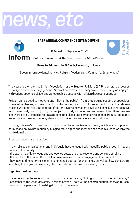# news, etc



### **BASR ANNUAL CONFERENCE (HYBRID EVENT)**

30 August - 1 September 2022



Online and In-Person at The Open University, Milton Keynes

### Keynote Address: Jasjit Singh, University of Leeds

"Becoming an accidental activist: Religion, Academia and Community Engagement"

This year the theme of the British Association for the Study of Religions (BASR) conference focuses on Religion and Public Engagement. We want to explore the many ways in which religion engages with various specific publics, and various publics engage with religion (however construed).

Religion can be used to motivate and inflame 'the public' - from encouraging support or opposition to war in the Ukraine, storming the US Capitol building in support of freedom, or to accept or refuse a vaccine. Although relevant aspects of current events may seem obvious to scholars of religion, we must proactively work to justify our subject of study as important and relevant to others. We are also increasingly expected to engage specific publics and demonstrate impact from our research. Reflections on how, why, where, when, and with whom we engage are very welcome.

Fittingly, this year's conference is co-sponsored by Inform (www.inform.ac) which exists to prevent harm based on misinformation by bringing the insights and methods of academic research into the public domain.

Proposed papers might consider:

- how religious organisations and individuals have engaged with specific publics, both in recent times and historically

- the exchange of knowledge and approaches between schoolteachers and scholars of religion
- the results of the recent REF and its consequences for public engagement and impact

- how new and minority religions have engaged publics for their aims, as well as how scholars researching these groups have navigated their relationships with relevant groups

### **Organisational matters**

The in-person conference will run from lunchtime on Tuesday 30 August to lunchtime on Thursday 1 September at the Open University in Milton Keynes. There will be accommodation reserved for conference participants within walking distance to the venue.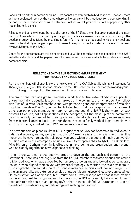Panels will be either in-person or online — we cannot accommodate hybrid sessions. However, there will be a dedicated room at the venue where online panels will be broadcast for those attending in person, and selected sessions will be streamed online. We will group all the online papers together into online-only panels.

All papers and panels willcontribute to the remit of the BASR as a member organisation of the International Association for the History of Religions: to advance research and education through the academic study of religions by providing a forum for the non-confessional, critical, analytical and cross-cultural study of religions, past and present. We plan to publish selected papers in the peerreviewed Journal of the BASR.

Costs for the conference are still being finalized but will be posted as soon as possible on the BASR website and updated call for papers. We will make several bursaries available for students and early career scholars.

### **REFLECTIONS ON THE SUBJECT BENCHMARK STATEMENT FOR THEOLOGY AND RELIGIOUS STUDIES**

As many members will already know, the new version of the QAA Subject Benchmark Statement for Theology and Religious Studies was released on the 30th of March. As a part of the working group, I thought it might be helpful to offer a reflection of the process and outcomes.

The group consisted of eighteen members, in addition to two external advisors supporting environmental and equality issues. The make-up of the committee is my first point of reflection. Two of us were BASR members and, with perhaps a generous interpretation of who else might be considered SoR/RS, our number totalled four. That was disappointing, I am aware of other applications by members, or non-members representing SoR/RS, that were not successful. Of course, not all applications will be accepted, but the make-up of the committee was numerically dominated by Theologians and Biblical scholars. Indeed, representatives from ministerial training institutions (or those that specifically worked in partnership with such institutions) equalled the SoR/RS representation alone.

In a previous opinion piece (Bulletin 131) I argued that SoR/RS had become a 'muted voice' in national discourse, and my worry is that this QAA exercise is a further example of this. It is important, however, to say that dialogue was good within the group, and much positive discussion arose in the attempt to include a diversity of approaches to T/RS. The Chair, Prof. Mike Higton of Durham, was highly effective in his steering and organisation, and he and I worked closely together on several phases of drafting.

I think there were numerous positive steps to develop the approach and content of the Statement. There was a strong push from the SoR/RS members to frame discussions around religion as-lived, which was supported by numerous theologians who looked at contemporary issues, or who aligned themselves with practical theology. In addition, the text now more robustly highlights the importance of studying diverse communities, includes non-religion and atheism more fully, and extends examples of student learning beyond lecture-room settings. De-colonisation was addressed, but I must admit I was disappointed that it was framed within aspirational terms ('providers of courses within TRS increasingly take a decolonising approach to both content and pedagogy') rather than as a definitive statement of the necessity of this in designing and delivering our teaching and learning.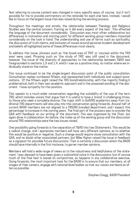Text referring to course content was changed in many specific ways, of course, but it isn't possible for me to provide commentary on the rationale for each one here. Instead, I would like to focus on the largest issue that was raised during the working process.

Throughout the meetings and emails, the relationship between Theology and Religious Studies was the central concern, framing as it did every aspect of the text. This affected the language of the document considerably. Discussion was most often collaborative but differences in motivation and starting point for different working group members impacted considerably on the task in hand. The understanding and use of terms such as spirituality, the discussion of truth claims, and inclusion of issues around personal student development and beliefs all highlighted some of these differences most clearly.

To address this issue, phrases such as 'the broad area of TRS' or 'courses within the TRS area' were used. Phrasing such as 'the study of TRS' was still used in the document, however. The issue of the diversity of approaches to the relationship between T&RS was foregrounded in sections 1.3 and 1.4, which I saw as a positive step, no matter where we individually stand on the matter.

This issue continued to be the single-largest discussion point of the public consultation. Consultation replies numbered fifteen, and represented both individuals and subject-associations. Of the fifteen, eight raised the TRS brand/relationship, with the majority finding it problematical, both in their own academic approach and in the proposed wording of the document. I have sympathy for this position.

This speaks to a much wider conversation regarding the suitability of the use of the term TRS, which includes voices that argue that it is useful to have a 'brand' in challenging times, to those who seek a complete divorce. The major shift in SoR/RS academics away from traditional TRS departments will also play into this conversation going forwards. Around half of current BASR members are not aligned to a TRS/RS branded department, and I expect this percentage to increase in the coming years. The final part of the process was to provide the QAA with feedback on our writing of the document. This was organised by the Chair, but again done in collaboration. As before, the make-up of the working group and the discussion around TRS relationships were the two issues raised.

One possibility going forwards is the separation of T&RS into two Statements. This would be a radical change, and I appreciate members will have very different opinions as to whether this would be positive or negative. Such a change would require close consultation with the QAA, and no doubt other associated partners, but Mike Higton raised the issue in feedback as a signpost for possible future discussions. That is certainly a discussion which the BASR should have internally in the first instance, to garner member opinions.

Members will hold a wide range of views as to the robustness and helpfulness of the statement. I was pleased to have been given a substantial voice in the discussions, but of course much of the final text is based on compromise, as happens in any collaborative exercise. Going forwards, the most important task for the BASR is to ensure that our members, at all stages of their careers, engage with national-level bodies so that our voices are heard as often as possible.

Stephen Gregg, BASR President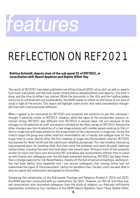# features

### REFLECTION ON REF2021

### Bettina Schmidt, deputy chair of the sub-panel 31 of REF2021, in consultation with Naomi Appleton and Sophie Gilliat-Ray

The result of REF2021 have been published now (https://results2021.ref.ac.uk/), as well as reports from each sub-panels and the main panels (https://ref.ac.uk/publications-and-reports/. The work is done, and the time to reflect has started. While the discussion in the HEIs and the funding bodies will focus on achievement and sustainability, the BASR needs to reflect on the future of our area of study in light of the results. This report will highlight some points that need consideration though I will start with a more personal reflection.

When I agreed to be nominated for REF2021 and accepted the invitation to join the sub-panel, I thought it would be similar to REF2014. However, while the rigour of the assessment process remained strong, REF2021 was different from REF2014 in several ways, not just because of the changes to the selection of staff and outputs initiated by the Stein review of REF2014. Among the other changes was the introduction of a two-stage process with smaller panels working on the criteria in stage one and larger panels for the assessment of the submissions in stage two. During the criteria stage the group was rather small but nevertheless set a friendly and collegial tone for the tough time to come. Shortly after the first meeting of stage two the pandemic started. REF2021 was paused for three month and the submission deadline postponed. This new timeline messed up long prepared plans for teaching relief. And then came the lockdown and nearly all panel meetings moved online, including the ones that took place over several days. Sitting on front of the computer screen for hours and hours and discussing REF procedure and assessments without time to catch up with friends and colleagues over tea had been extremely exhausting. REF2021 has been therefore a strange exercise for me. Nevertheless, despite of the lack of personal meetings, working online had been better than expected and I can ensure colleagues that moving online had not undermined the rigour of the assessment. Led by our excellent chair, Gordon Lynch, we were able to discuss openly the submissions and agreed on fair profiles.

Comparing the composition of the Sub-panels Theology and Religious Studies in 2014 and 2021, the BASR was less successful with our nominations for 2021. However, as TRS-UK and other subject associations also nominated colleagues from the study of religions, our field was sufficiently represented, including by four members of the BASR (Naomi Appleton, Gavin Flood, Sophie Gilliat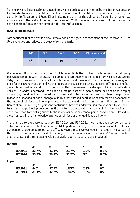Ray and myself, Bettina Schmidt). In addition, we had colleagues nominated by the British Association for Jewish Studies and the philosophy of religion section of the philosophical association among the panel (Philip Alexander and Fiona Ellis). Including the chair of the sub-panel, Gordon Lynch, whom we know as one of the hosts of the BASR conference in 2015, seven of the fourteen full members of the panel had therefore some background in the study of religions.

### **NOW TO THE RESULTS:**

I am confident that the profile below is the outcome of rigorous assessment of the research in TRS at UK universities and reflects the study of religions fairly.

| $10^{4*}$ | $*$ $C \setminus 0$ |     | $%1*$ | %Unclassified |
|-----------|---------------------|-----|-------|---------------|
| 38        |                     | 110 |       |               |

We received 31 submissions for the TRS Sub-Panel. While the number of submissions went down by two when compared with REF2014, the number of staff submitted increased from 413 to 505.12 FTE. Religious Studies was included in all the submissions and the overall outcome presented strong evidence for the strength of our field. As the report of the sub-panel states, research in Theology and Religious Studies makes a vital contribution within the wider research landscape of UK higher education. Religion - broadly understood - has been an integral part of human cultures and societies, shaping knowledge, moral traditions, social institutions and collective rituals, and has been deeply intertwined in processes of social change, cultural creativity and conflict. Research that we assessed on the nature of religious traditions, practice, and texts - and the lives and communities formed in relation to them - is making a significant contribution both to understanding the past and to social, cultural and geo-political processes in the contemporary world. This research is also providing an essential space for thinking critically about key issues of existence, personhood, community and society from within the framework of a range of religious and non-religious traditions.

The changes to the exercise between REF 2014 and REF 2021 mean that absolute comparisons between the results of the two are not valid. In particular, changes to the submission of staff make comparison of outcomes for outputs difficult. Nevertheless, we can see an increase in \*4 scores in all three areas that were assessed. The changes to the submission rules since 2014 have enabled greater capture of the increasing volume of world-leading research being produced.

| Outputs:       |             |             |             |             |      |
|----------------|-------------|-------------|-------------|-------------|------|
|                | $4^{\star}$ | $3^{\star}$ | $2^{\star}$ | $1^{\star}$ | U    |
| <b>REF2021</b> | 33.7%       | 42.8%       | 21.7%       | 1.0%        | 0.2% |
| <b>REF2014</b> | 23.7%       | 38.4%       | 31.5%       | 5%          | 0.5% |
| Impact:        |             |             |             |             |      |
|                | $4^{\star}$ | $3^{\star}$ | $2^{\star}$ | $1^{\star}$ | U    |
| <b>REF2021</b> | 44%         | 37.5%       | 15.7%       | 2.8%        | 0%   |
| <b>REF2014</b> | 37.4%       | 42.2%       | 18.6%       | 1.8%        | 0%   |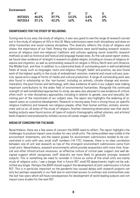| Environment:   |       |          |       |                 |    |
|----------------|-------|----------|-------|-----------------|----|
|                | 4∗    | ื่⊋∗     | つ*    | 1 <sup>th</sup> |    |
| <b>REF2021</b> | 46.5% | 37.7%    | 13.2% | 2.6%            | 0% |
| <b>REF2014</b> | 37.1% | $42.2\%$ | 16%   | 4.6%            | ዐ‰ |

### SIGNIFICANCE FOR THE STUDY OF RELIGIONS:

Turning now to our area, the study of religions, it was very good to see the range of research carried out in the study of religions at HEIs in the UK. Many submissions were multi-disciplinary and drew on other humanities and social science disciplines. This diversity reflects the study of religions and shows the importance of our field. Among the submissions were world-leading research outputs across all religious (and non-religious) traditions and cultures applying social scientific research methods as well as historical and textual and language-based ones. As the sub-panel report states, we found clear evidence of strength in research on global religion, including on issues of religious diaspora and migration, as well as outstanding research on religion in Africa, North and Latin America, the Middle-East, and Asia. In addition to a substantial body of outstanding work in well-established fields of study such as languages, texts and religious thought, belief and practice, we also found work of the highest quality in the study of embodiment, emotion, material and visual cultures, practice, space and a range of forms of media and cultural production. A range of outstanding work was also found in scholarship on the 'non-human', including on animals, climate change and environmentalism, the post-human and technology, with clear evidence of work in our subject area making important contributions to the wider field of environmental humanities. Alongside the continued strength of well-established approaches to study, we were also pleased to see evidence of critical, often multi- or inter-disciplinary approaches, including in relation to gender, race and sexuality, becoming part of the mainstream of our subject area. The report also highlights the widening of research areas as a positive development. Research is moving away from a strong focus on specific religious traditions and towards non-religious people, other than human entities, animals, environment and so on, all areas of the study of religions. Another interesting observation was that worldleading outputs were found across all types of outputs (monographs, edited volumes, and articles/ book chapters) and produced by scholars across all career stages including ECR.

### **AREAS OF CONCERN FOR THE BASR:**

Nevertheless, there are a few areas of concern the BASR need to reflect. The report highlights the challenges to produce impact case studies for very small units. The same problem was visible in the environment statements, and the lowest grades for environment submissions tended to be concentrated in units with very small staff numbers (<6 FTE). However, there is no clear correlation between size of unit and research as two of the strongest environment submissions came from small units. Nevertheless, research environments which provide researchers with more time, financial and other infrastructural resources, an effective culture of critical peer support and well-designed support which recognises staff diversity are more likely to generate stronger research outputs. This is something we need to consider in future as some of the small units are mainly study of religions units. I see a danger that in future REF small RS departments might not be submitted any longer. Perhaps the BASR should support the development of joint-submissions in future REF. This is in particular important as the pandemic has caused delays with research projects not only but perhaps especially in our field due to restricted access to archives and communities over the last two years which will have consequences for development of world leading outputs and rich impact case studies for the next REF.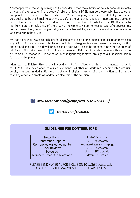Another point for the study of religions to consider is that the submission to sub-panel 31 reflects only part of the research in the study of religions. Several BASR members were submitted to other sub-panels such as History, Area Studies, and Modern Languages instead to TRS. In light of the report published by the British Academy just before the pandemic, this is an important issue to consider. However, it is difficult to address. Nevertheless, I wonder whether the BASR needs to highlight more the inclusivity of the study of religions towards non-social scientific approaches, hence make colleagues working on religions from a textual, linguistic, or historical perspective more welcome within the BASR.

My last point that I want to highlight for discussion is that some submissions included more than RS/TRS. For instance, some submissions included colleagues from archaeology, classics, politics and other disciplines. This development can go both ways. It can be an opportunity for the study of religions to illustrate the multi-disciplinary nature of our field. But it can also become a threat to the future of our presence in HEIs as the study of religions might move into a general humanities unit in future and disappear.

I don't want to finish on this note as it would be not a fair reflection of the achievements. The result of REF2021 is a celebration of our achievements, whether we work in a research-intensive university or a teaching-led institution. The study of religions makes a vital contribution to the understanding of today's problems, and we are also part of the solution.

### $\blacksquare$  www.facebook.com/groups/490163257661189/



twitter.com/TheBASR

### **GUIDELINES FOR CONTRIBUTORS**

News Items **Conference Reports Conference Announcements Book Reviews** Features **Members' Recent Publications** 

Up to 150 words 500-1500 words Not more than a single page 700-1000 words Around 1000 words Maximum 5 items

PLEASE SEND MATERIAL FOR INCLUSION TO tw36@soas.ac.uk DEADLINE FOR THE MAY 2022 ISSUE IS 30 APRIL 2022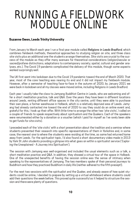### RUNNING A FIELDWOR MODULE ONTINF

### **Suzanne Owen, Leeds Trinity University**

From January to March each year I run a final year module called Religions in Leeds Bradford, which combines fieldwork methods, theoretical approaches to studving religion on site, and three class site visits plus an additional one the students arrange themselves. Site visits are crucial to the success of the module as they offer many avenues for theoretical considerations (religion/secular or sacred/profane distinctions; adaptations to contemporary society; spatial, cultural and gender analyses, etc.). The Covid 19 pandemic complicated the delivery of this module, though some aspects worked surprisingly well.

The UK first went into lockdown due to the Covid 19 pandemic toward the end of March 2020. That year, most of the core teaching was nearing its end and it did not impact my fieldwork module. However, after a semester of teaching face-to-face in the autumn of 2020, by January 2021 we were back in lockdown and all my classes were moved online, including Religions in Leeds Bradford.

Each year I usually take the class to Jamyang Buddhist Centre in Leeds, who are welcoming and offer a short meditation practice, talk and Q&A. Over the years they have been in different locations around Leeds, renting different office spaces in the city centre, until they were able to purchase their own place, a former warehouse in Holbeck, which is a relatively deprived area of Leeds. Jamyang had already contacted me toward the end of 2020 to say they could do an online event and, grateful for this, I took up their offer. With little time to arrange the other two 'site visits', I called on a couple of friends to speak respectively about spiritualism and the Quakers. Each of the speakers were renumerated either by a donation or a voucher (which I paid for myself as I've rarely been able to get funds for site visits).

I preceded each of the 'site visits' with a short presentation about the tradition and a seminar where students presented their research into specific representations of them in Yorkshire and, in some case, the nearest one to where the students were residing at the time, as some had returned home away from Leeds. For the spiritualist topic, I'd also found a short documentary video made in 2013 by York St John students providing a glimpse into what goes on within a spiritualist service ('Exploring the Unexplained - A Journey into Spiritualism').

The session with Jamyang was well-organised and included the usual elements such as a talk, a short meditation practice and Q&A. In addition, they showed a virtual tour of the space in Holbeck. One of the unexpected benefits of having the session online was the sense of intimacy when speaking to the representatives of Jamyang. The two members spoke of their personal journeys to Buddhism and how they practiced Buddhism in daily life (neither adhered to the fifth precept!).

For the next two sessions with the spiritualist and the Quaker, and already aware of how quiet students could be online, I decided to prepare by setting up a virtual whiteboard where students could add their questions the week before. This proved quite successful as it helped to structure the session and there were plenty of questions.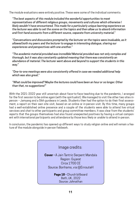The module evaluations were entirely positive. These were some of the individual comments:

"The best aspects of this module included the wonderful opportunities to meet representatives of different religious groups, movements and cultures which otherwise I likely wouldn't have encountered. This made for a particularly unique learning experience as the lecturer was able to set the scene on the topics and then allow us to absorb information and first-hand accounts from a different source, separate from university material."

"Conversations and discussions prompted by the lecturer on the topics were invaluable, as it allowed both my peers and the lecturer to engage in interesting dialogue, sharing our experiences and perspectives with one another."

"The academic material provided was incredible! Material provided was not only complex and thorough, but it was also constantly updated meaning that there was consistently an abundance of material. The lecturer went above and beyond to support the students in this way."

"One-to-one meetings were also consistently offered in case we needed additional help which was also great."

"What could be improved? Maybe the lectures could have been an hour or so longer. Other than that. no suggestions!"

With the 2021-2022 year still uncertain about face-to-face teaching due to the pandemic, I arranged for the first session to be online again (with the spiritualist). We managed to visit the other two sites inperson - Jamyang and a Sikh gurdwara in Leeds. Students then had the option to do their final assessment, a report on their own site visit, based on an online or in-person visit. By this time, many groups had a well-established online presence and a couple of the students were able to attend live virtual services and chat to other participants and group committee members. It was clear from the students' reports that the groups themselves had also found unexpected positives by having a virtual component with international participants and attendance by those less likely or unable to attend in-person.

In conclusion, the pandemic has opened up different ways to study religion online and will remain a feature of the module alongside in-person fieldwork.

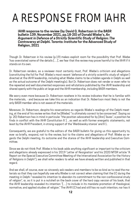### A RESPONSE FROM IAHR

IAHR response to the review (by David G. Robertson in the BASR bulletin 139. November 2021, pp.18-20) of Donald Wiebe's, An Argument in Defence of a Strictly Scientific Study of Religion: The Controversy at Delphi. Toronto: Institute for the Advanced Study of Religion, 2021

Though Dr. Robertson in his review (p.19) makes explicit room for the possibility that Prof. Wiebe 'has overstated some of the details [...]', we fear that the review may prove harmful to the IAHR if it stands on its own

Dr. Robertson renders, as a reviewer most certainly must. Prof. Wiebe's criticism and allegations (constituting the foil for Prof. Wiebe's most recent 'defence of a strictly scientific study of religion') directed at the IAHR leadership, including what Wiebe claims to be a hidden agenda in Delphi as well as the actual outcome of the Delphi meeting(s). But Dr. Robertson does not render or even refer to the repeated and well documented responses and refutations published by the IAHR leadership and shared openly with the public at large and the IAHR membership, including BASR members.

We worry even more because Dr. Robertson nowhere in his review indicates that he is familiar with the materials, - and because we take this as an indication that Dr. Robertson most likely is not the only BASR member who is not aware of the materials.

Moreover, Dr. Robertson, despite his reservations as regards Wiebe's readings of the Delphi meeting, at the end of his review writes that he [Wiebe) "is ultimately correct to be concerned". Saying so (p. 20) Robertson has in mind in particular "the position advocated for by [Ann] Taves", a position he finds in conflict with the IAHR Constitution § 1, as well as with former energetic statements, not least by the IAHR President, in strong support of the 'Werblowsky stance' and §1.

Consequently, we are grateful to the editors of the BASR bulletin for giving us this opportunity to. ever so briefly, respond, not to the review, but to the claims and allegations of Prof. Wiebe as regards the Delphi meeting, its outcome and the stance of the IAHR leadership and Executive Committee.

Since we do not think Prof. Wiebe in his book adds anything significant or important to the criticism and allegations already expressed in his 2019 'Letter of Resignation' and his 2020 MTSR article "A Report on the Special Executive Committee Meeting of the International Association for the History of Religions in Delphi"), we shall refer readers to what we have already written and published in that regard.

And we shall, of course, ever so sincerely ask readers and members to be so kind as to read the materials so that they can hopefully see why Wiebe is not correct when claiming that the EC during the meeting in Delphi "revealed its intention to abandon its commitment to the non-confessional study of religion", or, as it is put in a nutshell on the back cover of the hard copy version of his book, that the IAHR leadership revealed its intention "[...] to include in its mandate promotion of theological. normative, and applied studies of religion." The IAHR EC had and still has no such intention, nor has it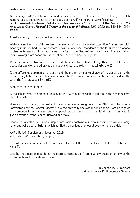made a decision whatsoever to abandon its commitment to Article 1 of the Constitution.

We thus urge BASR bulletin readers and members to fact-check what happened during the Delphi meeting, and to assess what its effects could be to IAHR members, by way of reading: Satoko Fujiwara & Tim Jensen, "What's in a (Change of) Name? Much—but Not That Much—and Not What Wiebe Claims", Method & Theory in the Study of Religion, 32/2, 2020, pp. 159-184 (OPEN ACCESS).

A brief summary of the arguments of that article runs:

Wiebe claims that the IAHR leadership (already before an Extended Executive Committee (EEC) meeting in Delphi) had decided to water down the academic standards of the IAHR with a proposal to change its name to "International Association for the Study of Religions." His criticism and allegations, we argue, are based on a series of misunderstandings as regards:

1) the difference between, on the one hand, the consultative body (EEC) gathered in Delphi and its discussions, and on the other, the conclusions drawn at a following meeting by the EC;

2) the difference between, on the one hand, the preliminary points of view of individuals during the EEC meeting (inter alia Prof. Taves' mentioned by Prof. Robertson as indicated above) and, on the other, the final proposals by the EC;

3) personal conversations;

4) the link between the proposal to change the name and the wish to tighten up the academic profile of the IAHR.

Moreover, the EC is not the final and ultimate decision-making body of he IAHR. The, International Committee and the General Assembly, are the only truly decision-making bodies. Both as regards e.g. a proposal for a new name and a proposal for, say, a mandate to the EC different from what is given it by the current Constitution and its article 1.

Please also check our e-Bulletin Supplement, which contains our initial response to Wiebe's resignation, as well as our e-Bulletin, which notified the publication of our above-mentioned article.

IAHR e-Bulletin Supplement, November 2019 IAHR Bulletin 41, July 2020 (esp. p.9)

The Bulletin also contains a link to an online folder to all the documents shared at the Delphi meeting  $(p.8)$ .

Last, but not least: please do not hesitate to contact us if you have any question on any of the abovementioned publications of ours.

> Tim Jensen, IAHR President Satoko Fujiwara, IAHR Secretary General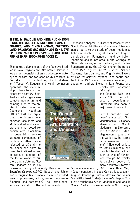# reviews

**TESSEL M. BAUDUIN AND HENRIK JOHNSSON** (EDS), THE OCCULT IN MODERNIST ART, LIT-**ERATURE, AND CINEMA (CHAM, SWITZER-**LAND: PALGRAVE MACMILLAN 2018); XII, 275 PP.: ISBN: 978-3-319-76498-6 (HARDBACK): RRP: €139.99 (EBOOK OPEN ACCESS).

This edited volume is part of the Palgrave Studies in New Religions and Alternative Spiritualitjes series. It consists of an introductory chapter by the editors, and ten case study chapters. In "Introduction: Conceptualizing Occult Modernism" Tessel M. Bauduin and Henrik Johnsson

open with the mediumship characteristic of nineteenth-century Spiritualists, which gave rise to automatic writing and painting such as the abstract watercolours of Georgiana Houghton (1814-1884), and argue that the intersections between occultism and Modernist art and literature are a neglected research area. Occultism has been claimed as a legitimate component of modernity, rather than a rejected 'other', and it is no longer the norm to point to irrational or superstitious aspects of the life or works of authors and artists, as Sixten Ringbom did in his

pioneering study of Wassily Kandinsky, The Sounding Cosmos (1970). Bauduin and Johnsson distinguish five components in Occult Modernism (processes, actors, works, how works function, and aesthetics). The "Introduction" ends with a sketch of the book's contents.

Johnsson's chapter, "A History of Research into Occult Modernist Literature" is also an introduction of sorts to the study of occult modernist fiction in French and English. French and English scholarship on Romanticism and symbolism identified occult interests in the writings of Gérard de Nerval, Arthur Rimbaud, and Charles Baudelaire during the 1940s, and un the period up to 1990 figures like W. B. Yeats, Wallace Stevens, Henry James, and Virginia Woolf were studied for spiritual, mystical, and occult content. After 1990 more books were produced, focused on authors including Ezra Pound, and



artists like Constantin **Brâncusi** and Giacomo Balla, and since 2000 the influence of occultism on Surrealism has been a maior area of research.

Part I. "Artistic Practices", starts with Gísli Magnússon's "Visionary **Mimesis** and Occult Modernism in Literature and Art Around 1900". Magnússon arques that the worldview he terms "supersensuous monism" influenced artists to rethink mimesis, and thus led to abstract art such as that of Kandinsky, though he thinks Kandinsky's oeuvre is more accurately termed

"visionary mimesis" (p. 51). The authors Maqnússon considers include Guy de Maupassant, August Strindberg, Gustav Meyrink, and Rainer Maria Rilke. Next is Marja Lahelma's chapter "August Strindberg's Art in Modernist and Occult Context", which discusses in detail Strindberg's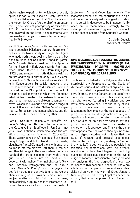photographic experiments, which were overtly spiritual in nature. Per Faxneld's " 'Only Poets and Occultists Believe in Them Just Now': Fairies and the Modernist Crisis of Authorship" is an entertaining discussion of photography of fairies (the 1917 Cottingley case, which Arthur Conan Doyle was involved in) and literary engagements with preternatural beings (for example, as exemplified by W. B. Yeats).

Part II, "Aesthetics," opens with "Return from Oblivion: Joséphin Péladan's Literary Esotericism" by Sasha Chaitow, a study of a neglected figure who made both theoretical and literary contributions to Modernist Occultism. Benedikt Hjartarson's "Ghosts Before Breakfast: The Appetite for the Beyond in Early Avant-Garde Film" analyses Hans Richter's film Vormittagsspuk (1928), and relates it to both Richter's writings on film, and to spirit photography. Next is Victoria Ferentinou's "Marie Wilson and Nanos Valaoritis in Conversation: Surrealisk, Imagetext, and Occult Aesthetics in Terre di Diamant", which is focused on the 1958 publication of the book of the title, a collaboration in which the American artist Wilson created the sixteen lithographs and her partner wrote the sixteen accompanying texts. Wilson and Valaoritis drew upon a range of occult influences including Native American spirituality, Surrealism, and parapsychology, and developed a heterodox aesthetic together.

Part III, "Occulture,' begins with Kristoffer Noheden's "Magic Art Between the Primitive and the Occult: Animal Sacrifices in Jan Svankmajer's Drawer Fetishes" which discusses the creation of six drawer fetishes in 2014-2015. These were inspired by African ritual; Svankmajer bought "pig's and bull's blood from a nearby slaughterer" (p. 195), mixed them with oats and poured it into the drawers, left them in the sun and flies laid eggs in the mess; when the larvae hatched the artist exploded them with a heat gun, poured bitumen into the mixture, and covered it with ashes. The final chapter is Giuliano D'Amico's "Retrogardism and Occulture in Hakan Sandell's Poetry", which engages the poet's interest in ancient wisdom narratives and shamanic religion. The volume is more unified in subject matter and historical span than many such scholarly outputs, and is of interest to Religious Studies as well as those in the fields of

Esotericism, Art, and Modernism generally. The academic standard of the contributions is high, and the subjects analysed are original and relevant. It certainly deserves to be in academic libraries, and is recommended strongly to the widest possible readership, given that the ebook is open access and free from Springer's website.

> Carole M. Cusack University of Sydney

#### **JUNE MCDANIEL, LOST ECSTASY: ITS DECLINE** AND TRANSFORMATION IN RELIGION (CHAM. **SWITZERLAND: PALGRAVE MACMILLAN** 2018); VIII, 325 PP.; ISBN: 978-3-319-92771-8 (HARDBACK): RRP: 109.99 EUROS.

This book is published in the Palgrave Macmillan Interdisciplinary Approaches to the Study of Mysticism series. June McDaniel argues in "Introduction: What Happened to Ecstasy? Mysticism, Ecstasy, and the Constructivist Loop" that the study of mysticism is unfashionable, and that she wishes "to bring [mysticism and ecstatic experiences] back into the study of reliconsciousness, at least partly by qious documenting how much of the field opposes it" (p. 2). The denial and delegitimation of religious experience is core to the reformulation of religious studies as an explicitly secular, anti-religionist, academic discipline. This reader is aligned with this approach and firmly in the camp that opposes the inclusion of theology in the remit of religious studies, yet believes that the study of religious and spiritual experiences (whether termed mysticism, ecstasy, or "non-ordinary reality") is both valuable and possible in a scientific, non-confessional way. The author's examination of the subject begins by chronicling examples of religious experience in the World Religions (another unfashionable category), and then analysing the "pathologisation" of such experiences within academic discourse. There are scholars who champion such anomalous states: McDaniel draws on the work of Grace Jantzen, Amy Hollywood, and Jeffrey Kripal to uncover an ecstasy that is erotic, powerful, and ignored at peril.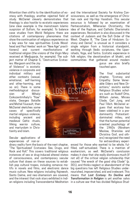Attention then shifts to the identification of ecstasy with theology, another rejected field of study. McDaniel cleverly demonstrates that theology is also hostile to ecstatic experiences (one clear example is the mainstream Islamic suspicion of Sufism, for example). To balance case studies from World Religions there are citations of contemporary phenomena that show the continuation of religious experience as a key area for new spiritualities (Linda Woodhead and Paul Heelas' work on "New Age" practitioners) and current manifestations of traditional religion (the visions of the Virgin Mary received at Mediugorie, for example). The subject matter of Chapter 5, "Destructive Ecstas-

ies: Wargasm and the Joy of Violence" is ecstatic violence in corporate and individual military and other contexts (sexual, emotional, self-harming and other-harming, and so on). There is some methodological discussion οf Mihalyi Csikszentmihalyi's "flow" state, Georges Bataille and Michel Foucault, then McDaniel sketches some  $of$ specifically cases martial religious violence, including ancient and medieval Celtic rituals, Viking warrior culture, and martyrdom in Christianity and Islam.

Secular applications of experiences of non-or-

dinary reality form the basis of the next chapter, "The 'Spiritualized' Ecstasies: Sex, Drugs, and Rock and Roll." This covers traditional religious instances of sex or drug-induced altered states of consciousness, and contemporary secular culture that draws on these sources to establish pop cultural tropes, including romance motifs in novels and films, and electronic dance music culture. New religions including Raineesh, Santo Daime, and neo-shamanism are covered, and the interest that rock stars exhibited in Indian religions including Transcendental Meditation

and the International Society for Krishna Consciousness, as well as the emergence of Christian rock and Hip-Hop Hasidism. This secular excursus is followed by an examination of Pentecostalism, Millenarian Christianity, the idea of the Rapture, and Catholic Charismatic experiences. Revivalism is also discussed in the context of Judaism and the Sufi Order of the West. Chapter 8, "The Case of Hinduism: Ecstasv and Denial," is unusual as it considers a single religion from a historical standpoint. working through Vedic scriptures, the Upanishads. Yoga, and Tantra. Ecstatic experience in folk religion, the devotionalism of bhakti, and communities that gathered around modern



gurus are also briefly touched upon.

final substantial The chapter, "Ecstasy and Empathy: Some Venerable Elders and New Directions," revisits earlier Religious Studies scholars such as Rudolf Otto. William James. Mircea Eliade, Carl Jung, and Paul Tillich. McDaniel arques that ecstasy has been sidelined in a predominantly Protestantdominated milieu, and that the human potential oriented psychology of 1960s (Abraham the Maslow, Stanislav and Christina Grof, and others) recognized the need for extraordinary experi-

enced for those who wanted to be whole, fulfilled, self-actualized. There is a mention of esotericism, as well. McDaniel's conclusion makes it clear that she really dismisses much (if not all) of the critical religion scholarship that caused "the wreck of the good ship Eliade" (p. 301), and thinks neglect or abandonment of the big questions has left Religious Studies undernourished, impoverished, arid and irrelevant. This means that Lost Ecstasy: Its Decline and **Transformation in Religion** is yet another salvo in a culture war that has divided Religious Stud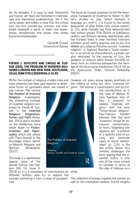ies for decades. It is easy to read, interesting and topical, yet feels old-fashioned in methodology and theoretical underpinnings. Yet it has some power, and makes a case that the critical turn has lost present-day scholars and interested laypeople a world of ideas and experiences, perspectives and values, that simply became unfashionable.

> Carole M. Cusack University of Sydney

### STEVEN J. SUTCLIFFE AND CAROLE M. CUS-**ACK (EDS). THE PROBLEM OF INVENTED RELI-**GIONS (LONDON AND NEW YORK: ROUTLEDGE, 2016): ISBN 9781138099036: £42.99.

Within the context of religious studies more and more attention has been paid recently to alternative forms of spirituality which are rooted in

pop culture. The volume The Problem of Invented **Religions** investigates the theoretical concept of invented religions proposed by Carole M. Cusin her *Invented* ack Religions. Imagination. Fiction and Faith (Ashgate, 2010) and is located on the intellectual route which leads to Fiction. Invention and Hyperreality, which she edited with Pavol Kosnáč in the Routledge Inform Series on Minority Religions and Movements Spiritual  $(2017)$ .

This book is a republished special issue of the journal Culture and Religion (Vol. 14, Issue 4,

2013) so it is a miscellany of contributions by whole. different authors, who try to expand the concept examining it from a range of perspectives.

The essay by Cusack proposes to link the theoretical framework of invention to Robert N. Bellah's studies on play "which features in language, art, myth [...] is crucial to the human experience of what Bellah calls unitive events" (p. 12), while Danielle Lee Kirby demonstrates how various groups (The Church of SubGenius, Jedism, and Sithism) develop relationships with the fictional texts in their manifold functions (catalyst, proof, reality, practice, and so on). Essi Mäkelä and Johanna Petsche connect "invented religions" to Zygmunt Bauman's "liquid modernity" in an article on Discordianism, a parody religion dedicated to the worship of Eris, the goddess of discord; while Steven Sutcliffe rereads from an historical perspective the heritage of the Rosicrucian manifestos (1614-16) on the Rosicrucian Order, Crotona Fellowship  $(ROCF)$ 

However not every essay agrees positively on the validity of using the term "invented religions". The volume is constituted in part by crit-

> ical contributions, as in the case of Markus Altena Davidsen. who offers proposal to a replace "invented religions" with the term "fiction-based religions". Paul-Francois Tremlett believes that the term "invention" brings an excessive concentration on texts, forgetting that religions are "a product of a specific kind of soand particular ciety types of social relationships" (p. 116). In the last article, Teemu Taira similarly challenges the term, arguing that the invented status is only one of the many criteria to consider in terms of the idea of religious as a

This collection of essays supplies the scholar, as well as the uninitiated student, fruitful insights

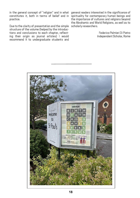in the general concept of "religion" and in what constitutes it, both in terms of belief and in practice.

Due to the clarity of presentation and the simple structure of the volume (helped by the introductions and conclusions to each chapter, reflecting their origin as journal articles) I would recommend it to undergraduate students and

general readers interested in the significance of spirituality for contemporary human beings and the importance of cultures and religions beyond the Abrahamic and World Religions, as well as to scholarly researchers.

> Federico Palmieri Di Pietro Independent Scholar, Rome

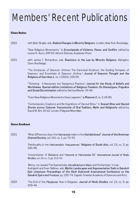### Members' Recent Publications

### Eileen Barker

PNPP 4 E B- ) 2 B > @ J D

"New Religious Movements." In *Encyclopedia of Violence, Peace, and Conflict*, edited by Lester R. Kurtz, 339-53. Oxford: Elsevier, Academic Press

PNPO < F D- B- 1 2 B 3 Oxon: Routledge.

> "The Scriptures of Daesoon Jinrihoe: The Canonical Scripture, the Guiding Compass of Daesoon, and Essentials of Daesoon Jinrihoe." Journal of Daesoon Thought and the Religions of East Asia 1, no. 1 (2021): 155-59.

> "'Othering': A Necessary but Dangerous Practice." Journal for the Study of Beliefs and Worldviews. Special edition Limitations of Religious Freedom: On Stereotypes, Prejudice **and Social Discrimination** edited by Gerhard Besier: 25-48.

"Even New Religious Movements Have Legacies." **e-Rhizome 2**, no. 2: 65-80.

"Contemporary Creations and Re-Cognitions of Sacred Sites." In Scared Sites and Sacred Stories across Cultures: Transmission of Oral Tradition, Myth, and Religiosity edited by David W. Kim, 25-62. London: Palgrave Macmillan.

### Simon Brodbeck

PNPO /I 6
-  !/ 0 '- **Oriental Society**, vol. 141, no. 1, pp. 73–92.

> 'Patrilocality in the Harivamsa's Visnuparvan.' Religions of South Asia, vol. 13, no. 3, pp.  $266 - 88$ .

> 'Interpretation of Baladeva and Yamunā at Harivamsa 83.' International Journal of Hindu Studies, vol. 24, no. 3, pp. 313-43.

> 'Mercy, my Jewels! The Syamantaka, Aśvatthāman's Maṇi, and the Earrings.' In Ivan Andrijanić and Sven Sellmer, eds, **Mythic Landscapes and Argumentative Trails in Sanskrit** Epic Literature: Proceedings of the Sixth Dubrovnik International Conference on the **Sanskrit Epics and Purāṇas**, pp. 233–74. Zagreb: Croatian Academy of Sciences and Arts

2020 The End of the Pandavas' Year in Disguise.' Journal of Hindu Studies, vol. 13, no. 3, pp.  $320 - 46$ .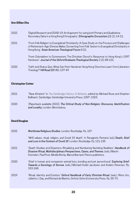### **Ann Gillian Chu**

- 2022 'Digital Research and COVID-19: An Argument for using both Primary and Qualitative Secondary Data in a Hong Kong Ethnography'. Ethnographic Encounters 11 (1): 14-21.
- 2021 'From Folk Religion to Evangelical Christianity: A Case Study on the Process and Challenges of Retirement-Age Chinese Males Converting from Folk Taoism to Evangelical Christianity in Hong Kong'. Asian American Theological Forum 8 (2).

'From Colonialism to Communism: The Christian Church's Response to Hong Kong's 1997 Handover'. Journal of the Oxford Graduate Theological Society 2 (2): 88-101.

2020 'Faith and Status Quo: What Can Post-Handover Hong Kong Churches Learn from Liberation Theology?' Hill Road 23 (45): 137-49

### **Christopher Cotter**

- 2021 "New Atheism" in The Cambridge History of Atheism, edited by Michael Ruse and Stephen Bullivant. Cambridge: Cambridge University Press, 1007-1023.
- 2020 [Paperback available 2022]. The Critical Study of Non-Religion: Discourse, Identification and Locality. London: Bloomsbury.

### **David Douglas**

| 2022 | Worldview Religious Studies. London: Routledge. Pp. 137.                                                                                                                                                                                               |
|------|--------------------------------------------------------------------------------------------------------------------------------------------------------------------------------------------------------------------------------------------------------|
|      | 'NHS values, ritual, religion, and Covid 19 death'. In Panagiotis Pentaris (ed.) Death, Grief<br>and Loss in the Context of Covid 19. London: Routledge. Pp. 121-133.                                                                                  |
| 2021 | 'Death Studies and Disasters: Ritualizing and Numbering Numbing Realities'. Handbook of<br>Disaster Ritual, Multidisciplinary Perspectives, Cases, and Themes. (eds.) Martin<br>Hoondert, Paul Post, Mirella Klomp, Marcel Barnard. Peters publishers. |
| 2020 | 'Grief in human and companion animal loss, bonding and pet personhood'. Exploring Grief:<br>Towards a Sociology of Sorrow. (eds.) Michael Hvidd Jacobsen and Anders Petersen. Pp.<br>153-168.                                                          |
| 2019 | 'Ritual, Identity and Emotion.' Oxford Handbook of Early Christian Ritual. (eds.). Risto Uro,<br>Juliette J. Day, and Richard de Marinis. Oxford: Oxford University Press. Pp. 55-73.                                                                  |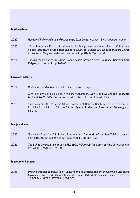### **Mathew Guest**

#### 2022 Neoliberal Religion: Faith and Power in the 21st Century. London: Bloomsbury, (in press).

- 2022 "From Protestant Ethic to Neoliberal Logic: Evangelicals at the Interface of Culture and Politics", Research in the Social Scientific Study of Religion, vol. 32: Lesser Heard Voices in Studies of Religion. Leiden and Boston: Brill, pp. 482-507 (in press).
- 2021 "Tracing the Routes to Pro-Trump Evangelicalism: Review Article", Journal of Contemporary Religion, vol. 36, no. 1., pp. 161-66.

#### Elizabeth J. Harris

| 2021 | <b>Buddhism in 5 Minutes.</b> Sheffield UK and Bristol CT: Equinox.                                                                                                       |  |  |  |
|------|---------------------------------------------------------------------------------------------------------------------------------------------------------------------------|--|--|--|
|      | with Perry Schmidt Leukel eds., A Visionary Approach: Lynn A. de Silva and the Prospects<br>for Buddhist-Christian Encounter. Sankt Ottilien: Editions of Sankt Ottilien. |  |  |  |
| 2020 | 'Buddhism and the Religious Other: Twenty-First Century Dambulla an the Presence of                                                                                       |  |  |  |

Buddhist Exclusivism in Sri Lanka'. Interreligious Studies and Intercultural Theology 4.1. pp. 3-20.

#### **Moojan Momen**

- 2022 "Bahá'u'lláh" and "Iran". In Robert Stockman ed. The World of the Bahá'í Faith. London: Routledge, pp. 40-50 and 546-68 (ISBN: 978-1-138-36772-2)
- 2021 The Baha'i Communities of Iran 1851 1921. Volume 2: The South of Iran. Oxford: George Ronald, ISBN: 978 0 85398 630 0

### **Masoumeh Rahmani**

2021 Drifting through Samsara: Tacit Conversion and Disengagement in Goenka's Vipassana Movement. New York: Oxford University Press. Oxford Scholarship Online, 2022. doi: 10.1093/oso/9780197579961.001.0001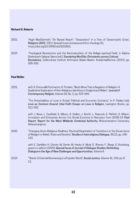### **Richard H. Roberts**

- 2021 'Hugh MacDiarmid's "On Raised Beach": "Geopoetics" in a Time of Catastrophic Crisis', Religions 2022, 13(1), Special Issue Literature and Eco-theology 31; https://doi.org/10.3390/rel13010031
- 2019 'Theological Revisionism and the Recomposition of the Religio-spiritual Field', in Sabine Dedenbach-Salazar Saenz (ed.), Translating Wor(I)ds: Christianity across Cultural Boundaries, Collectanea Instituti Anthropos Baden-Baden: Academia/Nomos (2019), pp. 305-333

#### **Paul Weller**

2021 with S. Cheruvallil-Contractor, K. Purdam, "Much More Than a Negation of Religion: A Qualitative Exploration of Non-Religious Identities in England and Wales", Journal of Contemporary Religion, Volume 36, No. 2, pp. 329-348.

> "The Potentialities of Love in Social, Political and Economic Contexts," in P. Fiddes (ed), Love as Common Ground: Inter-Faith Essays on Love in Religion, Lexington Books, pp. 311-332

> with J. Rees, L. Caulfield, S. Wilson, S. Ouillon, J. Booth, L. Peacock, E. Paffett, S. Wilson, Innovation and Enterprise Across the Social Economy in Recovery from COVID-19 Final Report: Report for the West Midlands Combined Authority, Wolverhampton University, Wolverhampton.

2020 "Changing Socio-Religious Realities, Practical Negotiation of Transitions in the Governance of Religion or Belief, State and Society," Studies in Interreligious Dialogue, 30 (2), pp. 145-162.

> with E. Camilleri; H. Cremin; M. Demir; M. Hardy; K. Murji; O. Shener; F. Sleap; S. Steinberg, quest co-editors (2020). Special Issue of Journal of Dialogue Studies: Rethinking Dialogue in the Age of New Challenges and Opportunities, Volume 8.

2019 "Brexit: A Colonial Boomerang in a Populist World", Social Justice, Volume 41, 196, pp. 8- $11$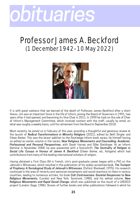

### Professor James A. Beckford (1 December 1942–10 May 2022)



It is with great sadness that we learned of the death of Professor James Beckford after a short illness. Jim was an important force in the life of Inform, joining the Board of Governors in 1991, two years after it had opened, and becoming its Vice Chair in 2011. In 1999 he took on the role of Chair of Inform's Management Committee, which involved contact with the staff, usually by email, or what was roughly a weekly basis, until his retirement from the Board in September 2018.

Most recently, he joined us in February of this year, providing a thoughtful and generous review at the launch of **Radical Transformations in Minority Religions** (2021), edited by Beth Singler anc Eileen Barker. This was the latest addition to the Routledge-Inform book series, he himself having co-edited an earlier volume in the series, **New Religious Movements and Counselling: Academic** ֦֦֧֦֧֦֧֦֧֦֧֦֧֢֚֚֡֝֜֜ **Professional and Personal Perspectives**, with Sarah Harvey and Silke Steidinger. At an Inform Seminar in November 2008, he was presented with a festschrift, **The Centrality of Religion in Social Life. Essays in Honour of James A. Beckford** (Eileen Barker, ed., Ashgate) which hac contributions from many of the leading international scholars of religion.

Having obtained a First Class BA in French, Jim's post-graduate career began with a PhD on the Jehovah's Witnesses, which resulted in the publication of his widely acclaimed book, **The Trumpet of Prophecy: A Sociological Study of Jehovah's Witnesses**, (Oxford: Blackwell, 1975). His research continued in the area of minority and sectarian movements and social reactions to them in various countries, leading to numerous articles, his book Cult Controversies: Societal Responses to New **Religious Movements**, (London and New York: Tavistock, 1985), and his edited volume, **New Religious Movements and Rapid Social Change**, which was published as the result of a UNESCO project (London: Sage, 1986). Scores of further books and other publications followed in which he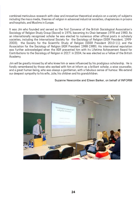combined meticulous research with clear and innovative theoretical analysis on a variety of subjects including the mass media, theories of religion in advanced industrial societies, chaplaincies in prisons and hospitals, and Muslims in Europe.

It was Jim who founded and served as the first Convenor of the British Sociological Association's Sociology of Religion Study Group (Socrel) in 1975, becoming its Chair between 1978 and 1983. As an internationally recognised scholar he was elected to numerous other official posts in scholarly societies, including the International Society for the Sociology of Religion (SISR President, 1999-2003); the Society for the Scientific Study of Religion (SSSR President 2010-11); and the Association for the Sociology of Religion (ASR President 1988-1989). His international reputation was further acknowledged when the ASR presented him with its Lifetime Achievement Award for Contributions to the Sociology of Religion in 2017. In 2004, he was elected as a Fellow of the British Academy.

Jim will be greatly missed by all who knew him or were influenced by his prodigious scholarship. He is fondly remembered by those who worked with him at Inform as a brilliant scholar, a wise counsellor, and a great human being, who was always a gentleman, with a fabulous sense of humour. We extend our deepest sympathy to his wife, Julie, his children and his grandchildren.

### Suzanne Newcombe and Eileen Barker, on behalf of INFORM